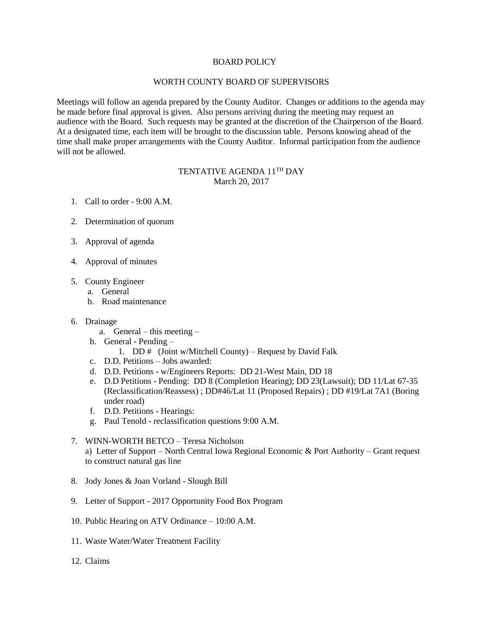## BOARD POLICY

#### WORTH COUNTY BOARD OF SUPERVISORS

Meetings will follow an agenda prepared by the County Auditor. Changes or additions to the agenda may be made before final approval is given. Also persons arriving during the meeting may request an audience with the Board. Such requests may be granted at the discretion of the Chairperson of the Board. At a designated time, each item will be brought to the discussion table. Persons knowing ahead of the time shall make proper arrangements with the County Auditor. Informal participation from the audience will not be allowed.

## TENTATIVE AGENDA 11TH DAY March 20, 2017

- 1. Call to order 9:00 A.M.
- 2. Determination of quorum
- 3. Approval of agenda
- 4. Approval of minutes
- 5. County Engineer
	- a. General
	- b. Road maintenance

#### 6. Drainage

- a. General this meeting –
- b. General Pending
	- 1. DD  $#$  (Joint w/Mitchell County) Request by David Falk
- c. D.D. Petitions Jobs awarded:
- d. D.D. Petitions w/Engineers Reports: DD 21-West Main, DD 18
- e. D.D Petitions Pending: DD 8 (Completion Hearing); DD 23(Lawsuit); DD 11/Lat 67-35 (Reclassification/Reassess) ; DD#46/Lat 11 (Proposed Repairs) ; DD #19/Lat 7A1 (Boring under road)
- f. D.D. Petitions Hearings:
- g. Paul Tenold reclassification questions 9:00 A.M.
- 7. WINN-WORTH BETCO Teresa Nicholson a) Letter of Support – North Central Iowa Regional Economic & Port Authority – Grant request to construct natural gas line
- 8. Jody Jones & Joan Vorland Slough Bill
- 9. Letter of Support 2017 Opportunity Food Box Program
- 10. Public Hearing on ATV Ordinance 10:00 A.M.
- 11. Waste Water/Water Treatment Facility
- 12. Claims